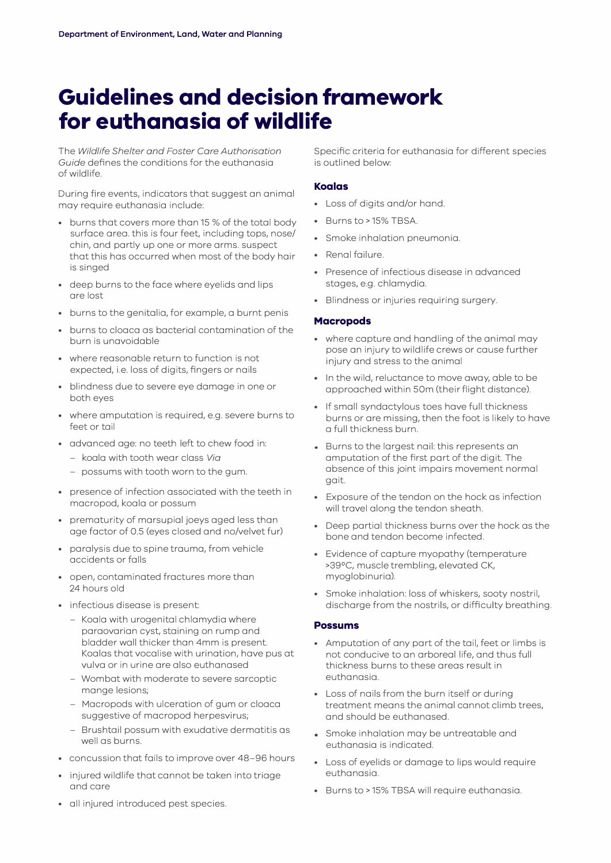# **Guidelines and decision framework for euthanasia of wildlife**

The *Wildlife Shelter and Foster Care Authorisation Guide* defines the conditions for the euthanasia of wildlife.

During fire events, indicators that suggest an animal may require euthanasia include:

- burns that covers more than 15 % of the total body surface area. this is four feet, including tops, nose/ chin, and partly up one or more arms. suspect that this has occurred when most of the body hair is singed
- deep burns to the face where eyelids and lips are lost
- burns to the genitalia, for example, a burnt penis
- burns to cloaca as bacterial contamination of the burn is unavoidable
- where reasonable return to function is not expected, i.e. loss of digits, fingers or nails
- blindness due to severe eye damage in one or both eyes
- where amputation is required, e.g. severe burns to feet or tail
- advanced age: no teeth left to chew food in:
	- koala with tooth wear class *Via*
	- possums with tooth worn to the gum.
- presence of infection associated with the teeth in macropod, koala or possum
- prematurity of marsupial joeys aged less than age factor of 0.5 (eyes closed and no/velvet fur)
- paralysis due to spine trauma, from vehicle accidents or falls
- open, contaminated fractures more than 24 hours old
- infectious disease is present:
	- Koala with urogenital chlamydia where paraovarian cyst, staining on rump and bladder wall thicker than 4mm is present. Koalas that vocalise with urination, have pus at vulva or in urine are also euthanased
	- Wombat with moderate to severe sarcoptic mange lesions;
	- Macropods with ulceration of gum or cloaca suggestive of macropod herpesvirus;
	- Brushtail possum with exudative dermatitis as well as burns.
- concussion that fails to improve over 48-96 hours
- injured wildlife that cannot be taken into triage and care
- all injured introduced pest species.

Specific criteria for euthanasia for different species is outlined below:

#### **Koalas**

- Loss of digits and/or hand.
- Burns to> 15% TBSA.
- Smoke inhalation pneumonia.
- Renal failure.
- Presence of infectious disease in advanced stages, e.g. chlamydia.
- Blindness or injuries requiring surgery.

#### **Macropods**

- where capture and handling of the animal may pose an injury to wildlife crews or cause further injury and stress to the animal
- In the wild, reluctance to move away, able to be approached within 50m (their flight distance).
- If small syndactylous toes have full thickness burns or are missing, then the foot is likely to have a full thickness burn.
- Burns to the largest nail: this represents an amputation of the first part of the digit. The absence of this joint impairs movement normal gait.
- Exposure of the tendon on the hock as infection will travel along the tendon sheath.
- Deep partial thickness burns over the hock as the bone and tendon become infected.
- Evidence of capture myopathy (temperature >39°C, muscle trembling, elevated CK, myoglobinuria).
- Smoke inhalation: loss of whiskers, sooty nostril, discharge from the nostrils, or difficulty breathing.

#### **Possums**

- Amputation of any part of the tail, feet or limbs is not conducive to an arboreal life, and thus full thickness burns to these areas result in euthanasia.
- Loss of nails from the burn itself or during treatment means the animal cannot climb trees, and should be euthanased.
- Smoke inhalation may be untreatable and euthanasia is indicated.
- Loss of eyelids or damage to lips would require euthanasia.
- Burns to> 15% TBSA will require euthanasia.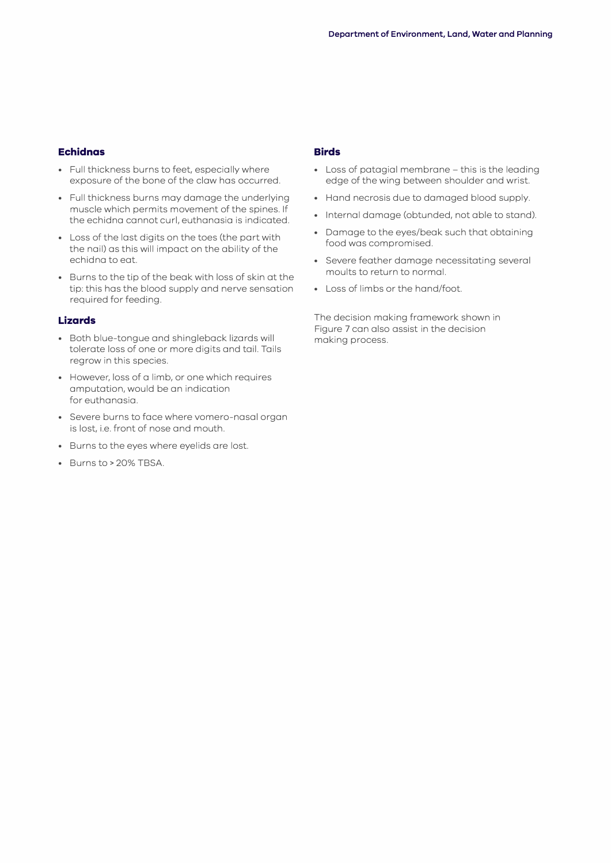## **Echidnas**

- Full thickness burns to feet, especially where exposure of the bone of the claw has occurred.
- Full thickness burns may damage the underlying muscle which permits movement of the spines. If the echidna cannot curl, euthanasia is indicated.
- Loss of the last digits on the toes (the part with the nail) as this will impact on the ability of the echidna to eat.
- Burns to the tip of the beak with loss of skin at the tip: this has the blood supply and nerve sensation required for feeding.

## **Lizards**

- Both blue-tongue and shingleback lizards will tolerate loss of one or more digits and tail. Tails regrow in this species.
- However, loss of a limb, or one which requires amputation, would be an indication for euthanasia.
- Severe burns to face where vomero-nasal organ is lost, i.e. front of nose and mouth.
- Burns to the eyes where eyelids are lost.
- Burns to> 20% TBSA.

## **Birds**

- Loss of patagial membrane this is the leading edge of the wing between shoulder and wrist.
- Hand necrosis due to damaged blood supply.
- Internal damage (obtunded, not able to stand).
- Damage to the eyes/beak such that obtaining food was compromised.
- Severe feather damage necessitating several moults to return to normal.
- Loss of limbs or the hand/foot.

The decision making framework shown in Figure 7 can also assist in the decision making process.